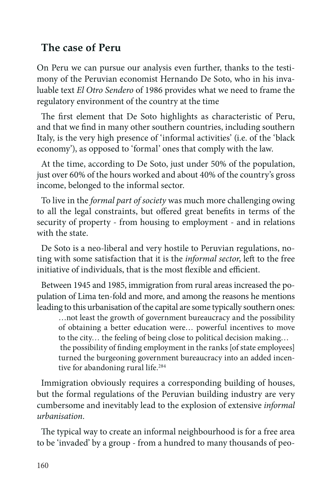## **The case of Peru**

On Peru we can pursue our analysis even further, thanks to the testimony of the Peruvian economist Hernando De Soto, who in his invaluable text *El Otro Sendero* of 1986 provides what we need to frame the regulatory environment of the country at the time

The first element that De Soto highlights as characteristic of Peru, and that we find in many other southern countries, including southern Italy, is the very high presence of 'informal activities' (i.e. of the 'black economy'), as opposed to 'formal' ones that comply with the law.

At the time, according to De Soto, just under 50% of the population, just over 60% of the hours worked and about 40% of the country's gross income, belonged to the informal sector.

To live in the *formal part of society* was much more challenging owing to all the legal constraints, but offered great benefits in terms of the security of property - from housing to employment - and in relations with the state.

De Soto is a neo-liberal and very hostile to Peruvian regulations, noting with some satisfaction that it is the *informal sector*, left to the free initiative of individuals, that is the most flexible and efficient.

Between 1945 and 1985, immigration from rural areas increased the population of Lima ten-fold and more, and among the reasons he mentions leading to this urbanisation of the capital are some typically southern ones:

…not least the growth of government bureaucracy and the possibility of obtaining a better education were… powerful incentives to move to the city… the feeling of being close to political decision making… the possibility of finding employment in the ranks [of state employees] turned the burgeoning government bureaucracy into an added incentive for abandoning rural life.<sup>284</sup>

Immigration obviously requires a corresponding building of houses, but the formal regulations of the Peruvian building industry are very cumbersome and inevitably lead to the explosion of extensive *informal urbanisation*.

The typical way to create an informal neighbourhood is for a free area to be 'invaded' by a group - from a hundred to many thousands of peo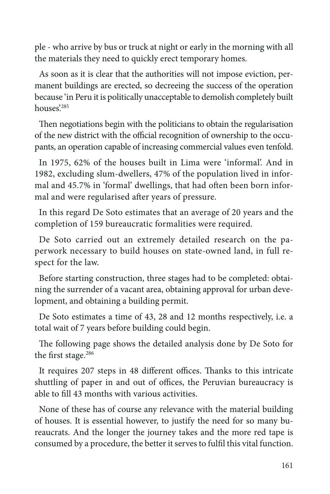ple - who arrive by bus or truck at night or early in the morning with all the materials they need to quickly erect temporary homes.

As soon as it is clear that the authorities will not impose eviction, permanent buildings are erected, so decreeing the success of the operation because 'in Peru it is politically unacceptable to demolish completely built houses'.<sup>285</sup>

Then negotiations begin with the politicians to obtain the regularisation of the new district with the official recognition of ownership to the occupants, an operation capable of increasing commercial values even tenfold.

In 1975, 62% of the houses built in Lima were 'informal'. And in 1982, excluding slum-dwellers, 47% of the population lived in informal and 45.7% in 'formal' dwellings, that had often been born informal and were regularised after years of pressure.

In this regard De Soto estimates that an average of 20 years and the completion of 159 bureaucratic formalities were required.

De Soto carried out an extremely detailed research on the paperwork necessary to build houses on state-owned land, in full respect for the law.

Before starting construction, three stages had to be completed: obtaining the surrender of a vacant area, obtaining approval for urban development, and obtaining a building permit.

De Soto estimates a time of 43, 28 and 12 months respectively, i.e. a total wait of 7 years before building could begin.

The following page shows the detailed analysis done by De Soto for the first stage.<sup>286</sup>

It requires 207 steps in 48 different offices. Thanks to this intricate shuttling of paper in and out of offices, the Peruvian bureaucracy is able to fill 43 months with various activities.

None of these has of course any relevance with the material building of houses. It is essential however, to justify the need for so many bureaucrats. And the longer the journey takes and the more red tape is consumed by a procedure, the better it serves to fulfil this vital function.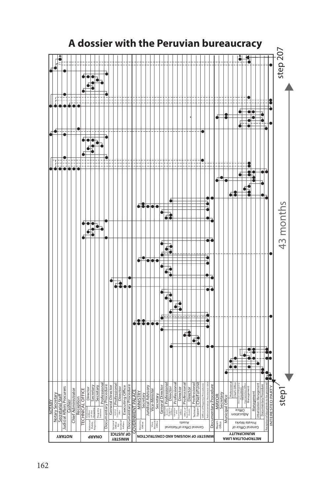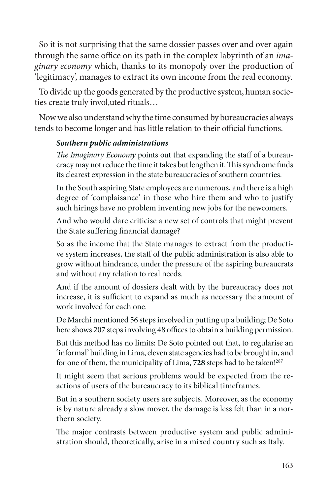So it is not surprising that the same dossier passes over and over again through the same office on its path in the complex labyrinth of an *imaginary economy* which, thanks to its monopoly over the production of 'legitimacy', manages to extract its own income from the real economy.

To divide up the goods generated by the productive system, human societies create truly invol,uted rituals…

Now we also understand why the time consumed by bureaucracies always tends to become longer and has little relation to their official functions.

## *Southern public administrations*

*The Imaginary Economy* points out that expanding the staff of a bureaucracy may not reduce the time it takes but lengthen it. This syndrome finds its clearest expression in the state bureaucracies of southern countries.

In the South aspiring State employees are numerous, and there is a high degree of 'complaisance' in those who hire them and who to justify such hirings have no problem inventing new jobs for the newcomers.

And who would dare criticise a new set of controls that might prevent the State suffering financial damage?

So as the income that the State manages to extract from the productive system increases, the staff of the public administration is also able to grow without hindrance, under the pressure of the aspiring bureaucrats and without any relation to real needs.

And if the amount of dossiers dealt with by the bureaucracy does not increase, it is sufficient to expand as much as necessary the amount of work involved for each one.

De Marchi mentioned 56 steps involved in putting up a building; De Soto here shows 207 steps involving 48 offices to obtain a building permission.

But this method has no limits: De Soto pointed out that, to regularise an 'informal' building in Lima, eleven state agencies had to be brought in, and for one of them, the municipality of Lima, **728** steps had to be taken!287

It might seem that serious problems would be expected from the reactions of users of the bureaucracy to its biblical timeframes.

But in a southern society users are subjects. Moreover, as the economy is by nature already a slow mover, the damage is less felt than in a northern society.

The major contrasts between productive system and public administration should, theoretically, arise in a mixed country such as Italy.